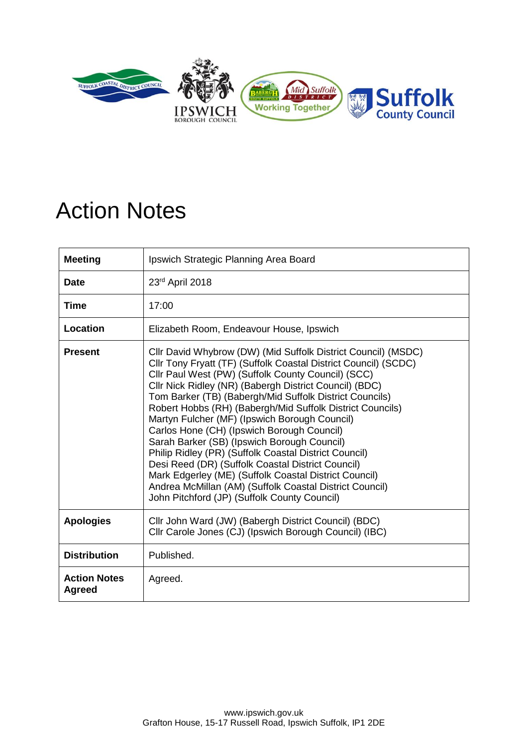

## Action Notes

| <b>Meeting</b>                       | Ipswich Strategic Planning Area Board                                                                                                                                                                                                                                                                                                                                                                                                                                                                                                                                                                                                                                                                                                                                                                    |  |
|--------------------------------------|----------------------------------------------------------------------------------------------------------------------------------------------------------------------------------------------------------------------------------------------------------------------------------------------------------------------------------------------------------------------------------------------------------------------------------------------------------------------------------------------------------------------------------------------------------------------------------------------------------------------------------------------------------------------------------------------------------------------------------------------------------------------------------------------------------|--|
| <b>Date</b>                          | 23rd April 2018                                                                                                                                                                                                                                                                                                                                                                                                                                                                                                                                                                                                                                                                                                                                                                                          |  |
| <b>Time</b>                          | 17:00                                                                                                                                                                                                                                                                                                                                                                                                                                                                                                                                                                                                                                                                                                                                                                                                    |  |
| Location                             | Elizabeth Room, Endeavour House, Ipswich                                                                                                                                                                                                                                                                                                                                                                                                                                                                                                                                                                                                                                                                                                                                                                 |  |
| <b>Present</b>                       | Cllr David Whybrow (DW) (Mid Suffolk District Council) (MSDC)<br>Cllr Tony Fryatt (TF) (Suffolk Coastal District Council) (SCDC)<br>Cllr Paul West (PW) (Suffolk County Council) (SCC)<br>Cllr Nick Ridley (NR) (Babergh District Council) (BDC)<br>Tom Barker (TB) (Babergh/Mid Suffolk District Councils)<br>Robert Hobbs (RH) (Babergh/Mid Suffolk District Councils)<br>Martyn Fulcher (MF) (Ipswich Borough Council)<br>Carlos Hone (CH) (Ipswich Borough Council)<br>Sarah Barker (SB) (Ipswich Borough Council)<br>Philip Ridley (PR) (Suffolk Coastal District Council)<br>Desi Reed (DR) (Suffolk Coastal District Council)<br>Mark Edgerley (ME) (Suffolk Coastal District Council)<br>Andrea McMillan (AM) (Suffolk Coastal District Council)<br>John Pitchford (JP) (Suffolk County Council) |  |
| <b>Apologies</b>                     | Cllr John Ward (JW) (Babergh District Council) (BDC)<br>Cllr Carole Jones (CJ) (Ipswich Borough Council) (IBC)                                                                                                                                                                                                                                                                                                                                                                                                                                                                                                                                                                                                                                                                                           |  |
| <b>Distribution</b>                  | Published.                                                                                                                                                                                                                                                                                                                                                                                                                                                                                                                                                                                                                                                                                                                                                                                               |  |
| <b>Action Notes</b><br><b>Agreed</b> | Agreed.                                                                                                                                                                                                                                                                                                                                                                                                                                                                                                                                                                                                                                                                                                                                                                                                  |  |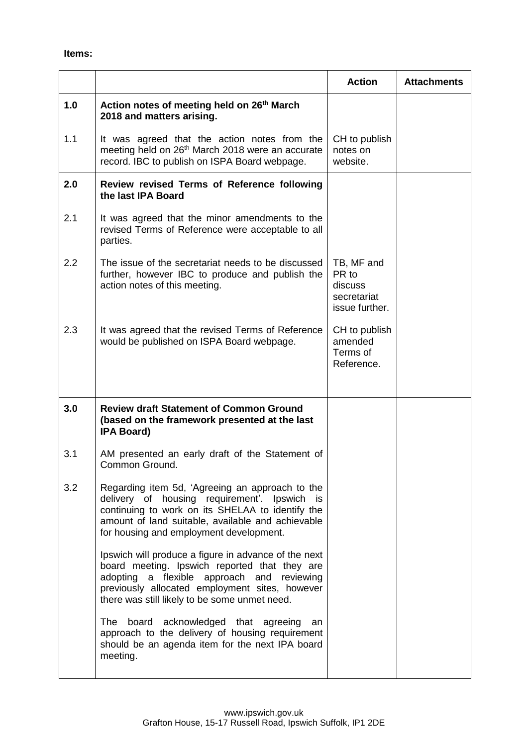|     |                                                                                                                                                                                                                                                           | <b>Action</b>                                                   | <b>Attachments</b> |
|-----|-----------------------------------------------------------------------------------------------------------------------------------------------------------------------------------------------------------------------------------------------------------|-----------------------------------------------------------------|--------------------|
| 1.0 | Action notes of meeting held on 26 <sup>th</sup> March<br>2018 and matters arising.                                                                                                                                                                       |                                                                 |                    |
| 1.1 | It was agreed that the action notes from the<br>meeting held on 26 <sup>th</sup> March 2018 were an accurate<br>record. IBC to publish on ISPA Board webpage.                                                                                             | CH to publish<br>notes on<br>website.                           |                    |
| 2.0 | Review revised Terms of Reference following<br>the last IPA Board                                                                                                                                                                                         |                                                                 |                    |
| 2.1 | It was agreed that the minor amendments to the<br>revised Terms of Reference were acceptable to all<br>parties.                                                                                                                                           |                                                                 |                    |
| 2.2 | The issue of the secretariat needs to be discussed<br>further, however IBC to produce and publish the<br>action notes of this meeting.                                                                                                                    | TB, MF and<br>PR to<br>discuss<br>secretariat<br>issue further. |                    |
| 2.3 | It was agreed that the revised Terms of Reference<br>would be published on ISPA Board webpage.                                                                                                                                                            | CH to publish<br>amended<br>Terms of<br>Reference.              |                    |
| 3.0 | <b>Review draft Statement of Common Ground</b><br>(based on the framework presented at the last<br><b>IPA Board)</b>                                                                                                                                      |                                                                 |                    |
| 3.1 | AM presented an early draft of the Statement of<br>Common Ground.                                                                                                                                                                                         |                                                                 |                    |
| 3.2 | Regarding item 5d, 'Agreeing an approach to the<br>delivery of housing requirement'. Ipswich is<br>continuing to work on its SHELAA to identify the<br>amount of land suitable, available and achievable<br>for housing and employment development.       |                                                                 |                    |
|     | Ipswich will produce a figure in advance of the next<br>board meeting. Ipswich reported that they are<br>adopting a flexible approach and<br>reviewing<br>previously allocated employment sites, however<br>there was still likely to be some unmet need. |                                                                 |                    |
|     | The<br>board acknowledged that agreeing<br>an<br>approach to the delivery of housing requirement<br>should be an agenda item for the next IPA board<br>meeting.                                                                                           |                                                                 |                    |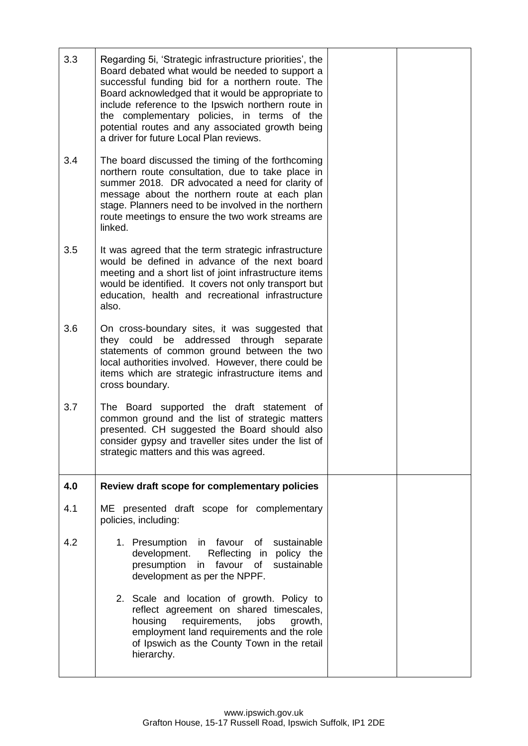| 3.3 | Regarding 5i, 'Strategic infrastructure priorities', the<br>Board debated what would be needed to support a<br>successful funding bid for a northern route. The<br>Board acknowledged that it would be appropriate to<br>include reference to the Ipswich northern route in<br>the complementary policies, in terms of the<br>potential routes and any associated growth being<br>a driver for future Local Plan reviews. |  |
|-----|---------------------------------------------------------------------------------------------------------------------------------------------------------------------------------------------------------------------------------------------------------------------------------------------------------------------------------------------------------------------------------------------------------------------------|--|
| 3.4 | The board discussed the timing of the forthcoming<br>northern route consultation, due to take place in<br>summer 2018. DR advocated a need for clarity of<br>message about the northern route at each plan<br>stage. Planners need to be involved in the northern<br>route meetings to ensure the two work streams are<br>linked.                                                                                         |  |
| 3.5 | It was agreed that the term strategic infrastructure<br>would be defined in advance of the next board<br>meeting and a short list of joint infrastructure items<br>would be identified. It covers not only transport but<br>education, health and recreational infrastructure<br>also.                                                                                                                                    |  |
| 3.6 | On cross-boundary sites, it was suggested that<br>they could be addressed through separate<br>statements of common ground between the two<br>local authorities involved. However, there could be<br>items which are strategic infrastructure items and<br>cross boundary.                                                                                                                                                 |  |
| 3.7 | The Board supported the draft statement of<br>common ground and the list of strategic matters<br>presented. CH suggested the Board should also<br>consider gypsy and traveller sites under the list of<br>strategic matters and this was agreed.                                                                                                                                                                          |  |
| 4.0 | Review draft scope for complementary policies                                                                                                                                                                                                                                                                                                                                                                             |  |
| 4.1 | ME presented draft scope for complementary<br>policies, including:                                                                                                                                                                                                                                                                                                                                                        |  |
| 4.2 | 1. Presumption<br>in favour of sustainable<br>development.<br>Reflecting in policy the<br>presumption<br>favour of<br>sustainable<br>in<br>development as per the NPPF.                                                                                                                                                                                                                                                   |  |
|     | 2. Scale and location of growth. Policy to<br>reflect agreement on shared timescales,<br>requirements, jobs<br>housing<br>growth,<br>employment land requirements and the role<br>of Ipswich as the County Town in the retail<br>hierarchy.                                                                                                                                                                               |  |
|     |                                                                                                                                                                                                                                                                                                                                                                                                                           |  |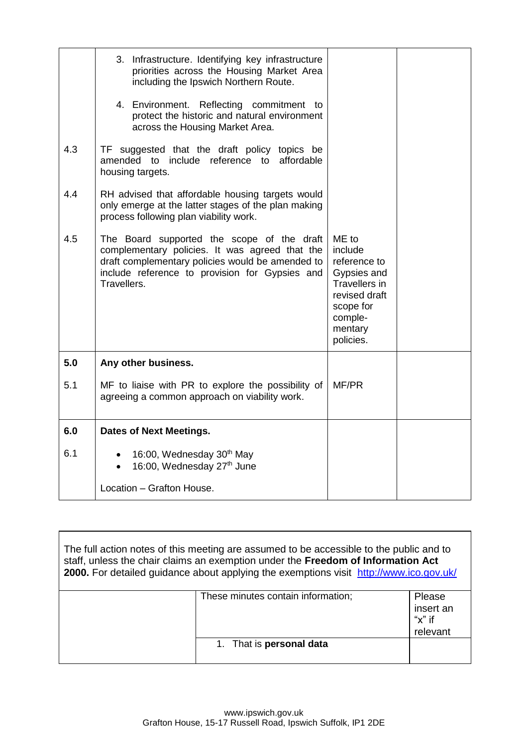| 4.3<br>4.4 | 3. Infrastructure. Identifying key infrastructure<br>priorities across the Housing Market Area<br>including the Ipswich Northern Route.<br>4. Environment. Reflecting commitment to<br>protect the historic and natural environment<br>across the Housing Market Area.<br>TF suggested that the draft policy topics be<br>amended to include reference to affordable<br>housing targets.<br>RH advised that affordable housing targets would<br>only emerge at the latter stages of the plan making<br>process following plan viability work. |                                                                                                                                          |  |
|------------|-----------------------------------------------------------------------------------------------------------------------------------------------------------------------------------------------------------------------------------------------------------------------------------------------------------------------------------------------------------------------------------------------------------------------------------------------------------------------------------------------------------------------------------------------|------------------------------------------------------------------------------------------------------------------------------------------|--|
| 4.5        | The Board supported the scope of the draft<br>complementary policies. It was agreed that the<br>draft complementary policies would be amended to<br>include reference to provision for Gypsies and<br>Travellers.                                                                                                                                                                                                                                                                                                                             | ME to<br>include<br>reference to<br>Gypsies and<br><b>Travellers in</b><br>revised draft<br>scope for<br>comple-<br>mentary<br>policies. |  |
| 5.0        | Any other business.                                                                                                                                                                                                                                                                                                                                                                                                                                                                                                                           |                                                                                                                                          |  |
| 5.1        | MF to liaise with PR to explore the possibility of<br>agreeing a common approach on viability work.                                                                                                                                                                                                                                                                                                                                                                                                                                           | MF/PR                                                                                                                                    |  |
| 6.0        | <b>Dates of Next Meetings.</b>                                                                                                                                                                                                                                                                                                                                                                                                                                                                                                                |                                                                                                                                          |  |
| 6.1        | 16:00, Wednesday 30 <sup>th</sup> May<br>16:00, Wednesday 27th June                                                                                                                                                                                                                                                                                                                                                                                                                                                                           |                                                                                                                                          |  |
|            | Location - Grafton House.                                                                                                                                                                                                                                                                                                                                                                                                                                                                                                                     |                                                                                                                                          |  |

| The full action notes of this meeting are assumed to be accessible to the public and to<br>staff, unless the chair claims an exemption under the Freedom of Information Act<br>2000. For detailed guidance about applying the exemptions visit http://www.ico.gov.uk/ |                                    |                                               |
|-----------------------------------------------------------------------------------------------------------------------------------------------------------------------------------------------------------------------------------------------------------------------|------------------------------------|-----------------------------------------------|
|                                                                                                                                                                                                                                                                       | These minutes contain information; | Please<br>insert an<br>" $x$ " if<br>relevant |
|                                                                                                                                                                                                                                                                       | 1. That is <b>personal data</b>    |                                               |